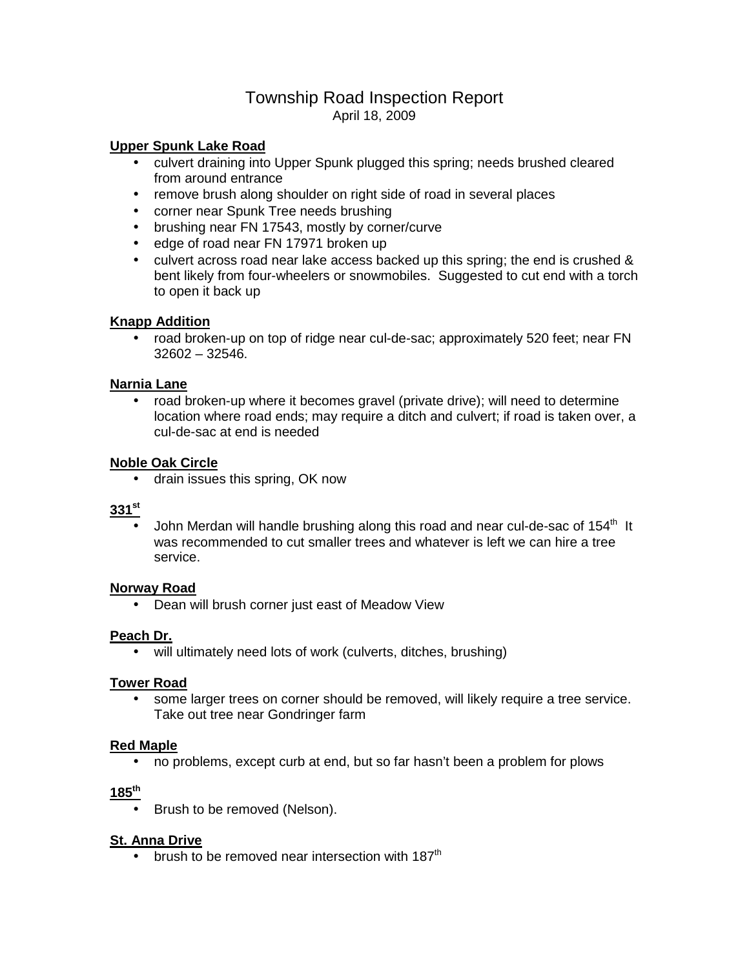## Township Road Inspection Report April 18, 2009

#### **Upper Spunk Lake Road**

- culvert draining into Upper Spunk plugged this spring; needs brushed cleared from around entrance
- remove brush along shoulder on right side of road in several places
- corner near Spunk Tree needs brushing
- brushing near FN 17543, mostly by corner/curve
- edge of road near FN 17971 broken up
- culvert across road near lake access backed up this spring; the end is crushed & bent likely from four-wheelers or snowmobiles. Suggested to cut end with a torch to open it back up

### **Knapp Addition**

• road broken-up on top of ridge near cul-de-sac; approximately 520 feet; near FN 32602 – 32546.

### **Narnia Lane**

• road broken-up where it becomes gravel (private drive); will need to determine location where road ends; may require a ditch and culvert; if road is taken over, a cul-de-sac at end is needed

### **Noble Oak Circle**

• drain issues this spring, OK now

# **331st**

John Merdan will handle brushing along this road and near cul-de-sac of 154<sup>th</sup> It was recommended to cut smaller trees and whatever is left we can hire a tree service.

### **Norway Road**

• Dean will brush corner just east of Meadow View

### **Peach Dr.**

• will ultimately need lots of work (culverts, ditches, brushing)

### **Tower Road**

• some larger trees on corner should be removed, will likely require a tree service. Take out tree near Gondringer farm

### **Red Maple**

• no problems, except curb at end, but so far hasn't been a problem for plows

#### **185th**

• Brush to be removed (Nelson).

### **St. Anna Drive**

• brush to be removed near intersection with  $187<sup>th</sup>$